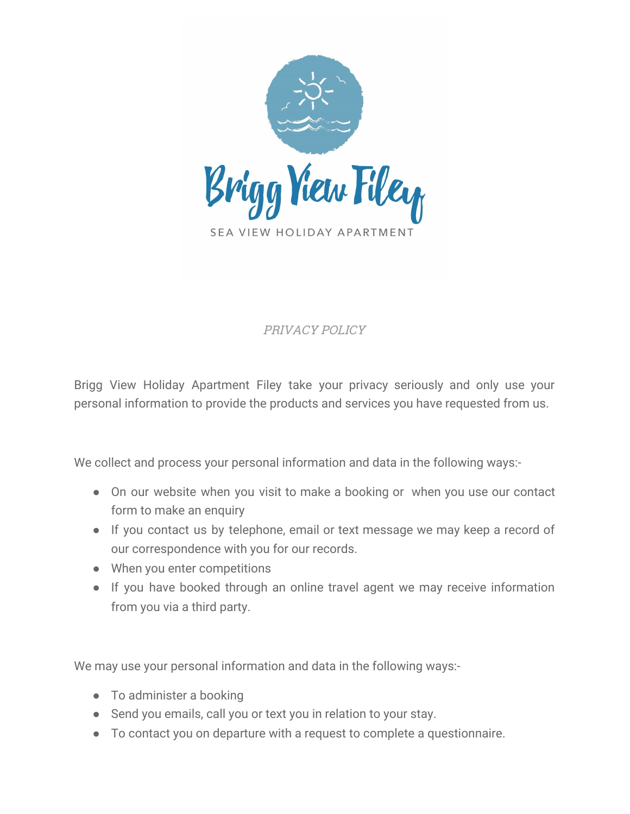

# PRIVACY POLICY

Brigg View Holiday Apartment Filey take your privacy seriously and only use your personal information to provide the products and services you have requested from us.

We collect and process your personal information and data in the following ways:-

- On our website when you visit to make a booking or when you use our contact form to make an enquiry
- If you contact us by telephone, email or text message we may keep a record of our correspondence with you for our records.
- When you enter competitions
- If you have booked through an online travel agent we may receive information from you via a third party.

We may use your personal information and data in the following ways:-

- To administer a booking
- Send you emails, call you or text you in relation to your stay.
- To contact you on departure with a request to complete a questionnaire.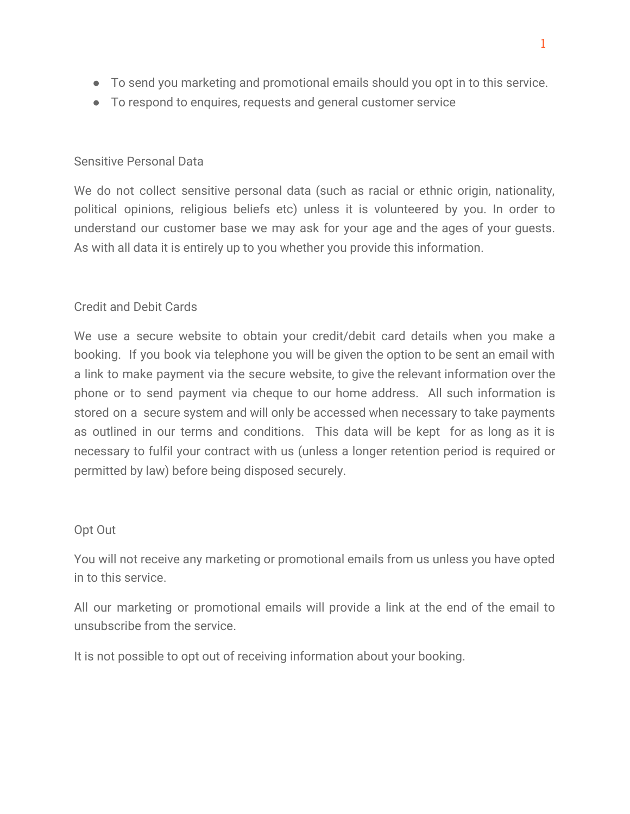- To send you marketing and promotional emails should you opt in to this service.
- To respond to enquires, requests and general customer service

## Sensitive Personal Data

We do not collect sensitive personal data (such as racial or ethnic origin, nationality, political opinions, religious beliefs etc) unless it is volunteered by you. In order to understand our customer base we may ask for your age and the ages of your guests. As with all data it is entirely up to you whether you provide this information.

# Credit and Debit Cards

We use a secure website to obtain your credit/debit card details when you make a booking. If you book via telephone you will be given the option to be sent an email with a link to make payment via the secure website, to give the relevant information over the phone or to send payment via cheque to our home address. All such information is stored on a secure system and will only be accessed when necessary to take payments as outlined in our terms and conditions. This data will be kept for as long as it is necessary to fulfil your contract with us (unless a longer retention period is required or permitted by law) before being disposed securely.

### Opt Out

You will not receive any marketing or promotional emails from us unless you have opted in to this service.

All our marketing or promotional emails will provide a link at the end of the email to unsubscribe from the service.

It is not possible to opt out of receiving information about your booking.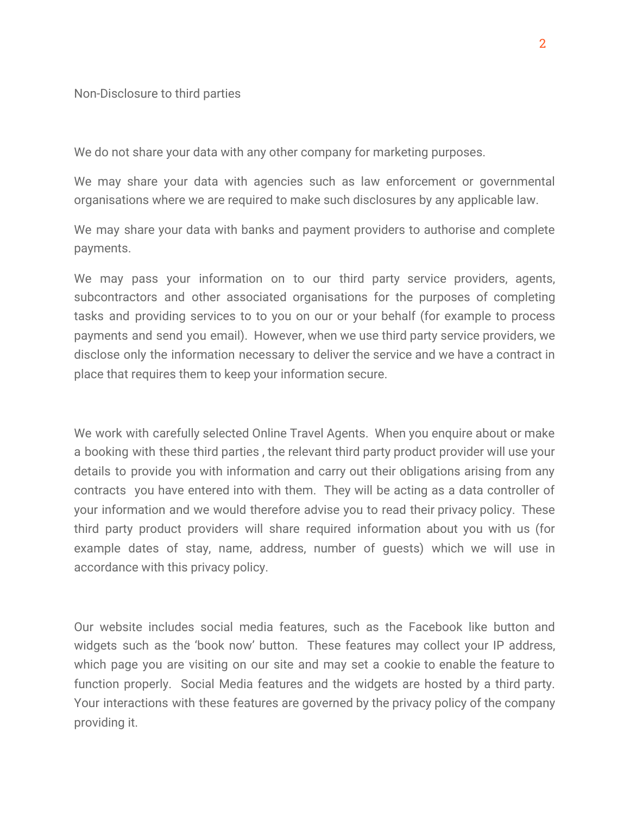Non-Disclosure to third parties

We do not share your data with any other company for marketing purposes.

We may share your data with agencies such as law enforcement or governmental organisations where we are required to make such disclosures by any applicable law.

We may share your data with banks and payment providers to authorise and complete payments.

We may pass your information on to our third party service providers, agents, subcontractors and other associated organisations for the purposes of completing tasks and providing services to to you on our or your behalf (for example to process payments and send you email). However, when we use third party service providers, we disclose only the information necessary to deliver the service and we have a contract in place that requires them to keep your information secure.

We work with carefully selected Online Travel Agents. When you enquire about or make a booking with these third parties , the relevant third party product provider will use your details to provide you with information and carry out their obligations arising from any contracts you have entered into with them. They will be acting as a data controller of your information and we would therefore advise you to read their privacy policy. These third party product providers will share required information about you with us (for example dates of stay, name, address, number of guests) which we will use in accordance with this privacy policy.

Our website includes social media features, such as the Facebook like button and widgets such as the 'book now' button. These features may collect your IP address, which page you are visiting on our site and may set a cookie to enable the feature to function properly. Social Media features and the widgets are hosted by a third party. Your interactions with these features are governed by the privacy policy of the company providing it.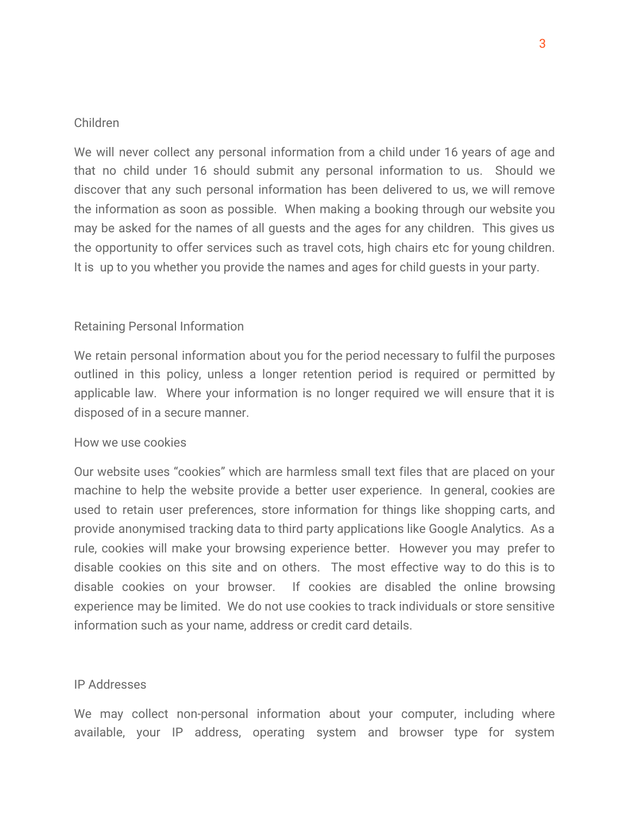#### Children

We will never collect any personal information from a child under 16 years of age and that no child under 16 should submit any personal information to us. Should we discover that any such personal information has been delivered to us, we will remove the information as soon as possible. When making a booking through our website you may be asked for the names of all guests and the ages for any children. This gives us the opportunity to offer services such as travel cots, high chairs etc for young children. It is up to you whether you provide the names and ages for child guests in your party.

#### Retaining Personal Information

We retain personal information about you for the period necessary to fulfil the purposes outlined in this policy, unless a longer retention period is required or permitted by applicable law. Where your information is no longer required we will ensure that it is disposed of in a secure manner.

#### How we use cookies

Our website uses "cookies" which are harmless small text files that are placed on your machine to help the website provide a better user experience. In general, cookies are used to retain user preferences, store information for things like shopping carts, and provide anonymised tracking data to third party applications like Google Analytics. As a rule, cookies will make your browsing experience better. However you may prefer to disable cookies on this site and on others. The most effective way to do this is to disable cookies on your browser. If cookies are disabled the online browsing experience may be limited. We do not use cookies to track individuals or store sensitive information such as your name, address or credit card details.

#### IP Addresses

We may collect non-personal information about your computer, including where available, your IP address, operating system and browser type for system